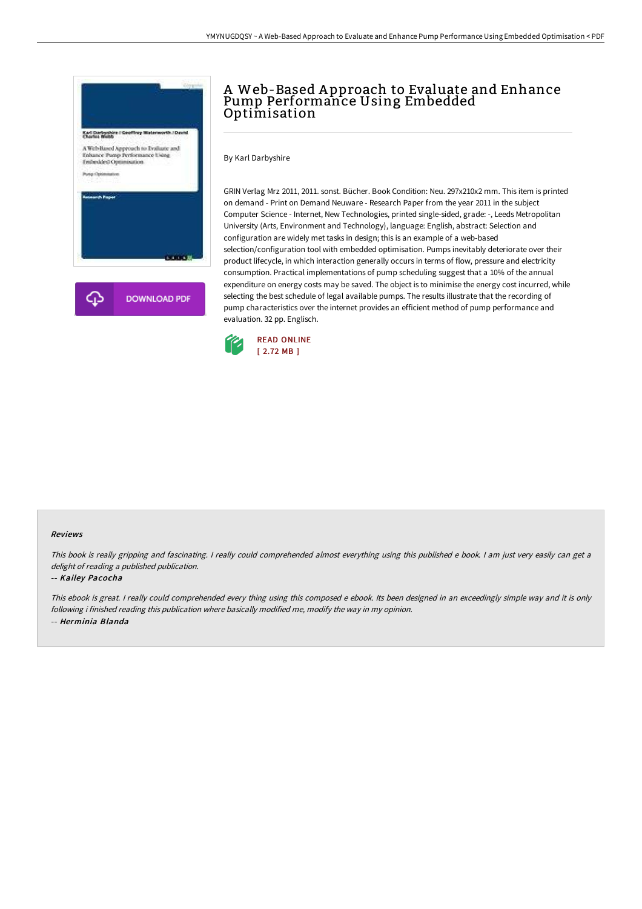

# A Web-Based A pproach to Evaluate and Enhance Pump Performance Using Embedded Optimisation

By Karl Darbyshire

GRIN Verlag Mrz 2011, 2011. sonst. Bücher. Book Condition: Neu. 297x210x2 mm. This item is printed on demand - Print on Demand Neuware - Research Paper from the year 2011 in the subject Computer Science - Internet, New Technologies, printed single-sided, grade: -, Leeds Metropolitan University (Arts, Environment and Technology), language: English, abstract: Selection and configuration are widely met tasks in design; this is an example of a web-based selection/configuration tool with embedded optimisation. Pumps inevitably deteriorate over their product lifecycle, in which interaction generally occurs in terms of flow, pressure and electricity consumption. Practical implementations of pump scheduling suggest that a 10% of the annual expenditure on energy costs may be saved. The object is to minimise the energy cost incurred, while selecting the best schedule of legal available pumps. The results illustrate that the recording of pump characteristics over the internet provides an efficient method of pump performance and evaluation. 32 pp. Englisch.



#### Reviews

This book is really gripping and fascinating. <sup>I</sup> really could comprehended almost everything using this published <sup>e</sup> book. <sup>I</sup> am just very easily can get <sup>a</sup> delight of reading <sup>a</sup> published publication.

#### -- Kailey Pacocha

This ebook is great. I really could comprehended every thing using this composed <sup>e</sup> ebook. Its been designed in an exceedingly simple way and it is only following i finished reading this publication where basically modified me, modify the way in my opinion. -- Herminia Blanda